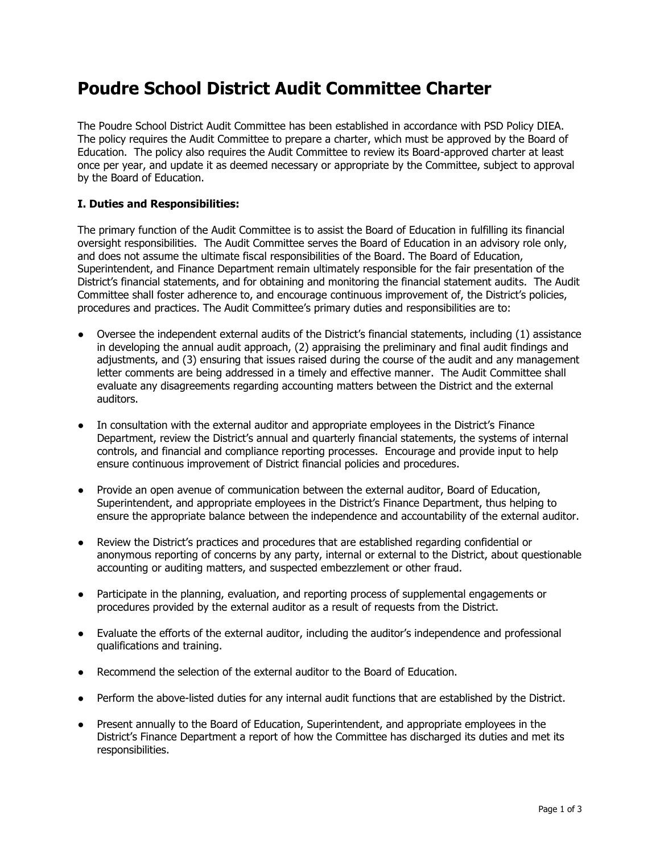## **Poudre School District Audit Committee Charter**

The Poudre School District Audit Committee has been established in accordance with PSD Policy DIEA. The policy requires the Audit Committee to prepare a charter, which must be approved by the Board of Education. The policy also requires the Audit Committee to review its Board-approved charter at least once per year, and update it as deemed necessary or appropriate by the Committee, subject to approval by the Board of Education.

## **I. Duties and Responsibilities:**

The primary function of the Audit Committee is to assist the Board of Education in fulfilling its financial oversight responsibilities. The Audit Committee serves the Board of Education in an advisory role only, and does not assume the ultimate fiscal responsibilities of the Board. The Board of Education, Superintendent, and Finance Department remain ultimately responsible for the fair presentation of the District's financial statements, and for obtaining and monitoring the financial statement audits. The Audit Committee shall foster adherence to, and encourage continuous improvement of, the District's policies, procedures and practices. The Audit Committee's primary duties and responsibilities are to:

- Oversee the independent external audits of the District's financial statements, including (1) assistance in developing the annual audit approach, (2) appraising the preliminary and final audit findings and adjustments, and (3) ensuring that issues raised during the course of the audit and any management letter comments are being addressed in a timely and effective manner. The Audit Committee shall evaluate any disagreements regarding accounting matters between the District and the external auditors.
- In consultation with the external auditor and appropriate employees in the District's Finance Department, review the District's annual and quarterly financial statements, the systems of internal controls, and financial and compliance reporting processes. Encourage and provide input to help ensure continuous improvement of District financial policies and procedures.
- Provide an open avenue of communication between the external auditor, Board of Education, Superintendent, and appropriate employees in the District's Finance Department, thus helping to ensure the appropriate balance between the independence and accountability of the external auditor.
- Review the District's practices and procedures that are established regarding confidential or anonymous reporting of concerns by any party, internal or external to the District, about questionable accounting or auditing matters, and suspected embezzlement or other fraud.
- Participate in the planning, evaluation, and reporting process of supplemental engagements or procedures provided by the external auditor as a result of requests from the District.
- Evaluate the efforts of the external auditor, including the auditor's independence and professional qualifications and training.
- Recommend the selection of the external auditor to the Board of Education.
- Perform the above-listed duties for any internal audit functions that are established by the District.
- Present annually to the Board of Education, Superintendent, and appropriate employees in the District's Finance Department a report of how the Committee has discharged its duties and met its responsibilities.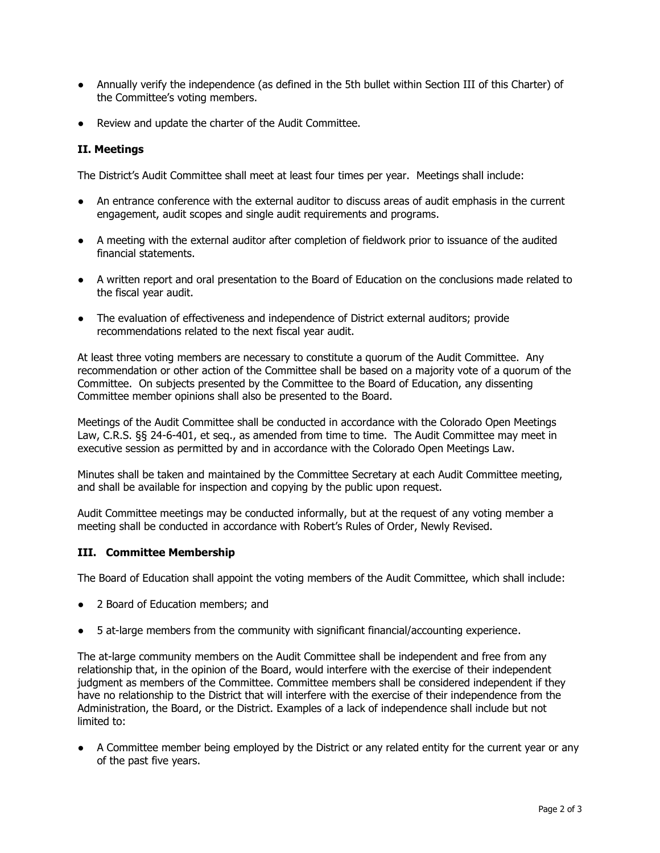- Annually verify the independence (as defined in the 5th bullet within Section III of this Charter) of the Committee's voting members.
- Review and update the charter of the Audit Committee.

## **II. Meetings**

The District's Audit Committee shall meet at least four times per year. Meetings shall include:

- An entrance conference with the external auditor to discuss areas of audit emphasis in the current engagement, audit scopes and single audit requirements and programs.
- A meeting with the external auditor after completion of fieldwork prior to issuance of the audited financial statements.
- A written report and oral presentation to the Board of Education on the conclusions made related to the fiscal year audit.
- The evaluation of effectiveness and independence of District external auditors; provide recommendations related to the next fiscal year audit.

At least three voting members are necessary to constitute a quorum of the Audit Committee. Any recommendation or other action of the Committee shall be based on a majority vote of a quorum of the Committee. On subjects presented by the Committee to the Board of Education, any dissenting Committee member opinions shall also be presented to the Board.

Meetings of the Audit Committee shall be conducted in accordance with the Colorado Open Meetings Law, C.R.S. §§ 24-6-401, et seq., as amended from time to time. The Audit Committee may meet in executive session as permitted by and in accordance with the Colorado Open Meetings Law.

Minutes shall be taken and maintained by the Committee Secretary at each Audit Committee meeting, and shall be available for inspection and copying by the public upon request.

Audit Committee meetings may be conducted informally, but at the request of any voting member a meeting shall be conducted in accordance with Robert's Rules of Order, Newly Revised.

## **III. Committee Membership**

The Board of Education shall appoint the voting members of the Audit Committee, which shall include:

- 2 Board of Education members; and
- 5 at-large members from the community with significant financial/accounting experience.

The at-large community members on the Audit Committee shall be independent and free from any relationship that, in the opinion of the Board, would interfere with the exercise of their independent judgment as members of the Committee. Committee members shall be considered independent if they have no relationship to the District that will interfere with the exercise of their independence from the Administration, the Board, or the District. Examples of a lack of independence shall include but not limited to:

● A Committee member being employed by the District or any related entity for the current year or any of the past five years.